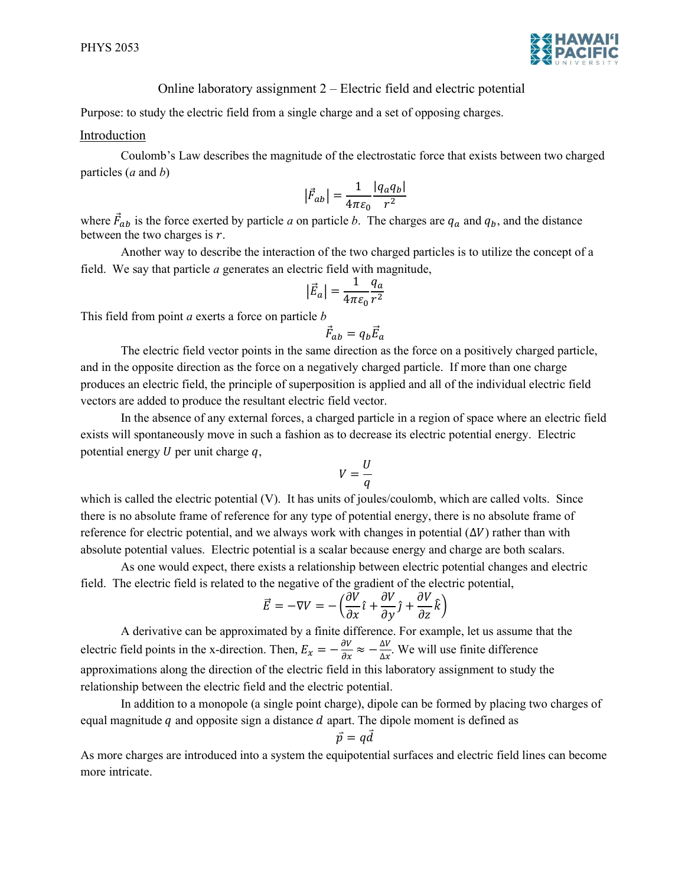

## Online laboratory assignment 2 – Electric field and electric potential

Purpose: to study the electric field from a single charge and a set of opposing charges.

## Introduction

Coulomb's Law describes the magnitude of the electrostatic force that exists between two charged particles  $(a \text{ and } b)$ 

$$
\left|\vec{F}_{ab}\right| = \frac{1}{4\pi\varepsilon_0} \frac{|q_a q_b|}{r^2}
$$

where  $\vec{F}_{ab}$  is the force exerted by particle a on particle b. The charges are  $q_a$  and  $q_b$ , and the distance between the two charges is  $r$ .

Another way to describe the interaction of the two charged particles is to utilize the concept of a field. We say that particle a generates an electric field with magnitude,

$$
\left|\vec{E}_a\right| = \frac{1}{4\pi\varepsilon_0} \frac{q_a}{r^2}
$$

This field from point  $a$  exerts a force on particle  $b$ 

$$
\vec{F}_{ab} = q_b \vec{E}_a
$$

The electric field vector points in the same direction as the force on a positively charged particle, and in the opposite direction as the force on a negatively charged particle. If more than one charge produces an electric field, the principle of superposition is applied and all of the individual electric field vectors are added to produce the resultant electric field vector.

In the absence of any external forces, a charged particle in a region of space where an electric field exists will spontaneously move in such a fashion as to decrease its electric potential energy. Electric potential energy  $U$  per unit charge  $q$ ,

$$
V=\frac{U}{q}
$$

which is called the electric potential (V). It has units of joules/coulomb, which are called volts. Since there is no absolute frame of reference for any type of potential energy, there is no absolute frame of reference for electric potential, and we always work with changes in potential  $(\Delta V)$  rather than with absolute potential values. Electric potential is a scalar because energy and charge are both scalars.

As one would expect, there exists a relationship between electric potential changes and electric field. The electric field is related to the negative of the gradient of the electric potential,

$$
\vec{E} = -\nabla V = -\left(\frac{\partial \vec{V}}{\partial x}\hat{i} + \frac{\partial V}{\partial y}\hat{j} + \frac{\partial V}{\partial z}\hat{k}\right)
$$

A derivative can be approximated by a finite difference. For example, let us assume that the electric field points in the x-direction. Then,  $E_x = -\frac{\partial V}{\partial x} \approx -\frac{\Delta V}{\Delta x}$ .  $\frac{\Delta v}{\Delta x}$ . We will use finite difference approximations along the direction of the electric field in this laboratory assignment to study the relationship between the electric field and the electric potential.

In addition to a monopole (a single point charge), dipole can be formed by placing two charges of equal magnitude  $q$  and opposite sign a distance  $d$  apart. The dipole moment is defined as

$$
\vec{p} = q\vec{d}
$$

As more charges are introduced into a system the equipotential surfaces and electric field lines can become more intricate.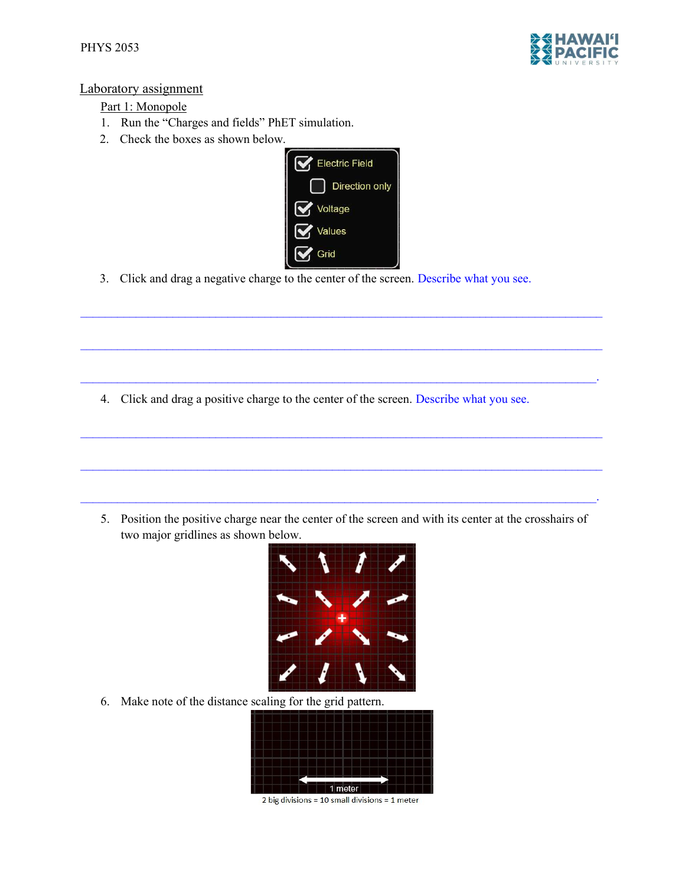

## Laboratory assignment

## Part 1: Monopole

- 1. Run the "Charges and fields" PhET simulation.
- 2. Check the boxes as shown below.



 $\mathcal{L}_\mathcal{L} = \mathcal{L}_\mathcal{L} = \mathcal{L}_\mathcal{L} = \mathcal{L}_\mathcal{L} = \mathcal{L}_\mathcal{L} = \mathcal{L}_\mathcal{L} = \mathcal{L}_\mathcal{L} = \mathcal{L}_\mathcal{L} = \mathcal{L}_\mathcal{L} = \mathcal{L}_\mathcal{L} = \mathcal{L}_\mathcal{L} = \mathcal{L}_\mathcal{L} = \mathcal{L}_\mathcal{L} = \mathcal{L}_\mathcal{L} = \mathcal{L}_\mathcal{L} = \mathcal{L}_\mathcal{L} = \mathcal{L}_\mathcal{L}$ 

 $\mathcal{L}_\mathcal{L} = \mathcal{L}_\mathcal{L} = \mathcal{L}_\mathcal{L} = \mathcal{L}_\mathcal{L} = \mathcal{L}_\mathcal{L} = \mathcal{L}_\mathcal{L} = \mathcal{L}_\mathcal{L} = \mathcal{L}_\mathcal{L} = \mathcal{L}_\mathcal{L} = \mathcal{L}_\mathcal{L} = \mathcal{L}_\mathcal{L} = \mathcal{L}_\mathcal{L} = \mathcal{L}_\mathcal{L} = \mathcal{L}_\mathcal{L} = \mathcal{L}_\mathcal{L} = \mathcal{L}_\mathcal{L} = \mathcal{L}_\mathcal{L}$ 

 $\mathcal{L}_\text{max} = \mathcal{L}_\text{max} = \mathcal{L}_\text{max} = \mathcal{L}_\text{max} = \mathcal{L}_\text{max} = \mathcal{L}_\text{max} = \mathcal{L}_\text{max} = \mathcal{L}_\text{max} = \mathcal{L}_\text{max} = \mathcal{L}_\text{max} = \mathcal{L}_\text{max} = \mathcal{L}_\text{max} = \mathcal{L}_\text{max} = \mathcal{L}_\text{max} = \mathcal{L}_\text{max} = \mathcal{L}_\text{max} = \mathcal{L}_\text{max} = \mathcal{L}_\text{max} = \mathcal{$ 

 $\mathcal{L}_\text{max} = \mathcal{L}_\text{max} = \mathcal{L}_\text{max} = \mathcal{L}_\text{max} = \mathcal{L}_\text{max} = \mathcal{L}_\text{max} = \mathcal{L}_\text{max} = \mathcal{L}_\text{max} = \mathcal{L}_\text{max} = \mathcal{L}_\text{max} = \mathcal{L}_\text{max} = \mathcal{L}_\text{max} = \mathcal{L}_\text{max} = \mathcal{L}_\text{max} = \mathcal{L}_\text{max} = \mathcal{L}_\text{max} = \mathcal{L}_\text{max} = \mathcal{L}_\text{max} = \mathcal{$ 

 $\mathcal{L}_\mathcal{L} = \mathcal{L}_\mathcal{L} = \mathcal{L}_\mathcal{L} = \mathcal{L}_\mathcal{L} = \mathcal{L}_\mathcal{L} = \mathcal{L}_\mathcal{L} = \mathcal{L}_\mathcal{L} = \mathcal{L}_\mathcal{L} = \mathcal{L}_\mathcal{L} = \mathcal{L}_\mathcal{L} = \mathcal{L}_\mathcal{L} = \mathcal{L}_\mathcal{L} = \mathcal{L}_\mathcal{L} = \mathcal{L}_\mathcal{L} = \mathcal{L}_\mathcal{L} = \mathcal{L}_\mathcal{L} = \mathcal{L}_\mathcal{L}$ 

3. Click and drag a negative charge to the center of the screen. Describe what you see.

4. Click and drag a positive charge to the center of the screen. Describe what you see.

5. Position the positive charge near the center of the screen and with its center at the crosshairs of two major gridlines as shown below.



6. Make note of the distance scaling for the grid pattern.



2 big divisions = 10 small divisions = 1 meter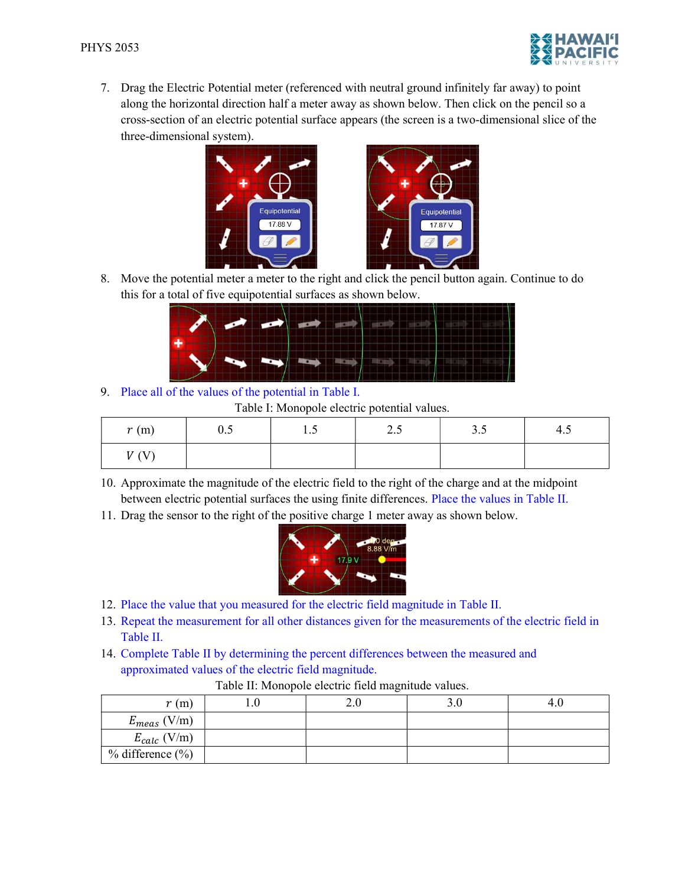

7. Drag the Electric Potential meter (referenced with neutral ground infinitely far away) to point along the horizontal direction half a meter away as shown below. Then click on the pencil so a cross-section of an electric potential surface appears (the screen is a two-dimensional slice of the three-dimensional system).





8. Move the potential meter a meter to the right and click the pencil button again. Continue to do this for a total of five equipotential surfaces as shown below.

|  |                           | $\sim$ $\sim$ $\sim$ |  |  |
|--|---------------------------|----------------------|--|--|
|  |                           |                      |  |  |
|  |                           |                      |  |  |
|  |                           |                      |  |  |
|  | <b>A BALLADOR BARBARA</b> |                      |  |  |
|  |                           |                      |  |  |
|  |                           |                      |  |  |

9. Place all of the values of the potential in Table I.

Table I: Monopole electric potential values.

| r(m) | $\overline{\phantom{0}}$<br>$\mathsf{U}.\mathsf{U}$ | $\cdot \cdot$ | . .<br>ن کے | ر.ر | 4.3 |
|------|-----------------------------------------------------|---------------|-------------|-----|-----|
| U(3) |                                                     |               |             |     |     |

- 10. Approximate the magnitude of the electric field to the right of the charge and at the midpoint between electric potential surfaces the using finite differences. Place the values in Table II.
- 11. Drag the sensor to the right of the positive charge 1 meter away as shown below.



- 12. Place the value that you measured for the electric field magnitude in Table II.
- 13. Repeat the measurement for all other distances given for the measurements of the electric field in Table II.
- 14. Complete Table II by determining the percent differences between the measured and approximated values of the electric field magnitude.

| r(m)                   | $\sim$ | 3.U | 4.U |
|------------------------|--------|-----|-----|
| (V/m)<br>$E_{meas}$ (  |        |     |     |
| $E_{calc}$ (V/m)       |        |     |     |
| $%$ difference $(\% )$ |        |     |     |

Table II: Monopole electric field magnitude values.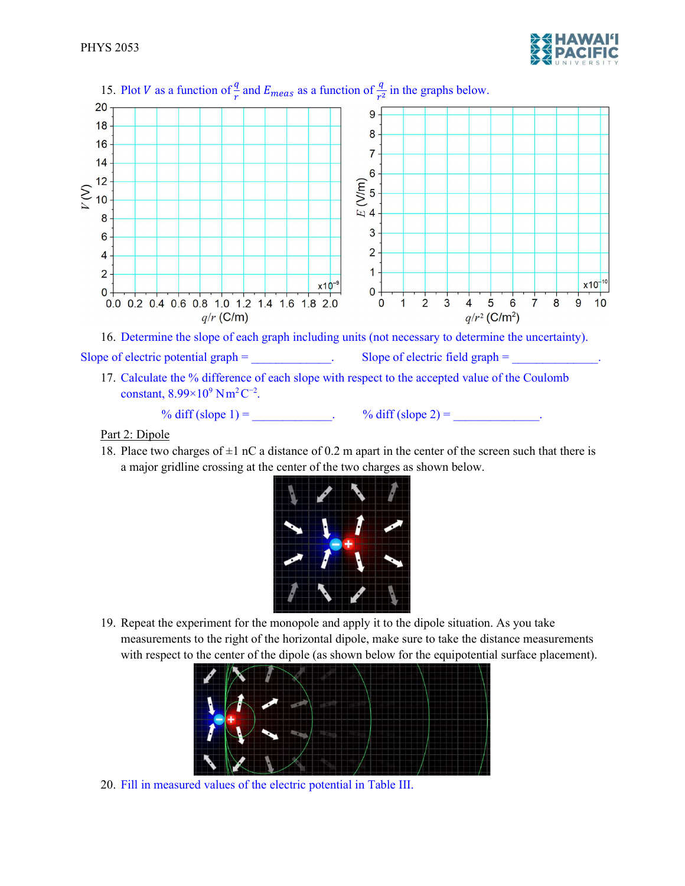



17. Calculate the % difference of each slope with respect to the accepted value of the Coulomb constant,  $8.99 \times 10^9$  Nm<sup>2</sup>C<sup>-2</sup>.

% diff  $(slope 1) =$  <br>  $\frac{9}{6}$  diff  $(slope 2) =$ 

Part 2: Dipole

18. Place two charges of  $\pm 1$  nC a distance of 0.2 m apart in the center of the screen such that there is a major gridline crossing at the center of the two charges as shown below.



19. Repeat the experiment for the monopole and apply it to the dipole situation. As you take measurements to the right of the horizontal dipole, make sure to take the distance measurements with respect to the center of the dipole (as shown below for the equipotential surface placement).



20. Fill in measured values of the electric potential in Table III.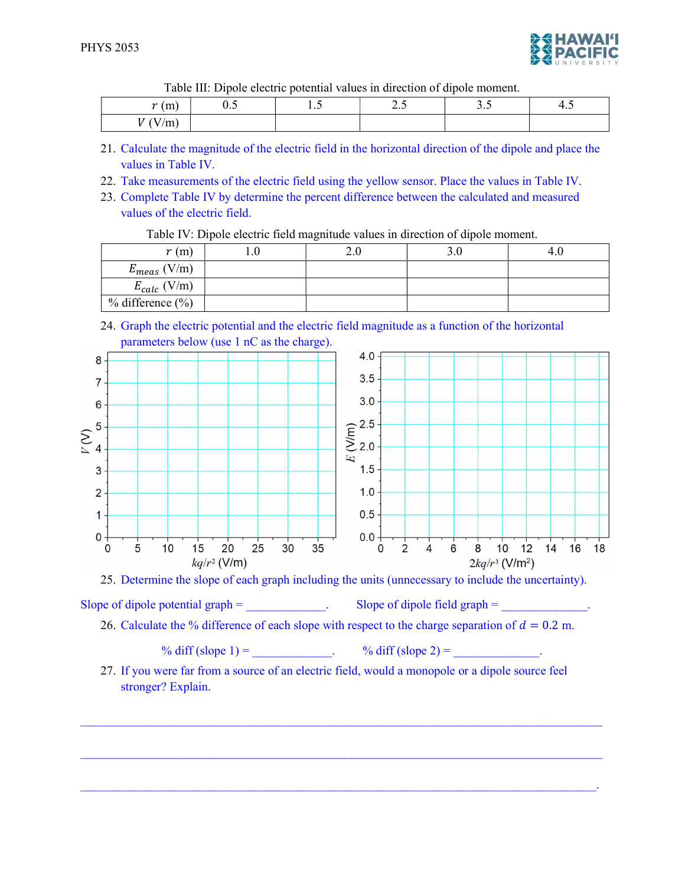

Table III: Dipole electric potential values in direction of dipole moment.

| $\overline{\phantom{a}}$<br>$\sim$<br>(111)   | , | $\cdot$ . | $\overline{\phantom{m}}\,$ | <br>т. |
|-----------------------------------------------|---|-----------|----------------------------|--------|
| the company of the company of<br>.<br>7.I.I., |   |           |                            |        |

- 21. Calculate the magnitude of the electric field in the horizontal direction of the dipole and place the values in Table IV.
- 22. Take measurements of the electric field using the yellow sensor. Place the values in Table IV.
- 23. Complete Table IV by determine the percent difference between the calculated and measured values of the electric field.

Table IV: Dipole electric field magnitude values in direction of dipole moment.

| r(m)                   | <u> 2.U</u> | J.U | 4.U |
|------------------------|-------------|-----|-----|
| $E_{meas}$ (V/m)       |             |     |     |
| $E_{calc}$ (V/m)       |             |     |     |
| $%$ difference $(\% )$ |             |     |     |

24. Graph the electric potential and the electric field magnitude as a function of the horizontal parameters below (use 1 nC as the charge).



25. Determine the slope of each graph including the units (unnecessary to include the uncertainty).

Slope of dipole potential graph  $=$   $\qquad \qquad$   $\qquad$  Slope of dipole field graph  $=$ 

26. Calculate the % difference of each slope with respect to the charge separation of  $d = 0.2$  m.

% diff (slope 1) =  $\%$  diff (slope 2) =

27. If you were far from a source of an electric field, would a monopole or a dipole source feel stronger? Explain.

 $\mathcal{L}_\text{max} = \mathcal{L}_\text{max} = \mathcal{L}_\text{max} = \mathcal{L}_\text{max} = \mathcal{L}_\text{max} = \mathcal{L}_\text{max} = \mathcal{L}_\text{max} = \mathcal{L}_\text{max} = \mathcal{L}_\text{max} = \mathcal{L}_\text{max} = \mathcal{L}_\text{max} = \mathcal{L}_\text{max} = \mathcal{L}_\text{max} = \mathcal{L}_\text{max} = \mathcal{L}_\text{max} = \mathcal{L}_\text{max} = \mathcal{L}_\text{max} = \mathcal{L}_\text{max} = \mathcal{$ 

 $\mathcal{L}_\text{max} = \mathcal{L}_\text{max} = \mathcal{L}_\text{max} = \mathcal{L}_\text{max} = \mathcal{L}_\text{max} = \mathcal{L}_\text{max} = \mathcal{L}_\text{max} = \mathcal{L}_\text{max} = \mathcal{L}_\text{max} = \mathcal{L}_\text{max} = \mathcal{L}_\text{max} = \mathcal{L}_\text{max} = \mathcal{L}_\text{max} = \mathcal{L}_\text{max} = \mathcal{L}_\text{max} = \mathcal{L}_\text{max} = \mathcal{L}_\text{max} = \mathcal{L}_\text{max} = \mathcal{$